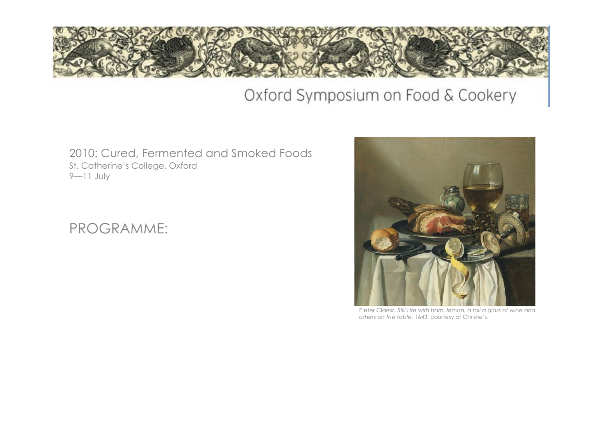

# Oxford Symposium on Food & Cookery

### 2010: Cured, Fermented and Smoked Foods St. Catherine's College, Oxford 9—11 July

## PROGRAMME:



Pieter Claesz, *Still Life with ham, lemon, a roll a glass of wine and others on the table*, 1643, courtesy of Christie's.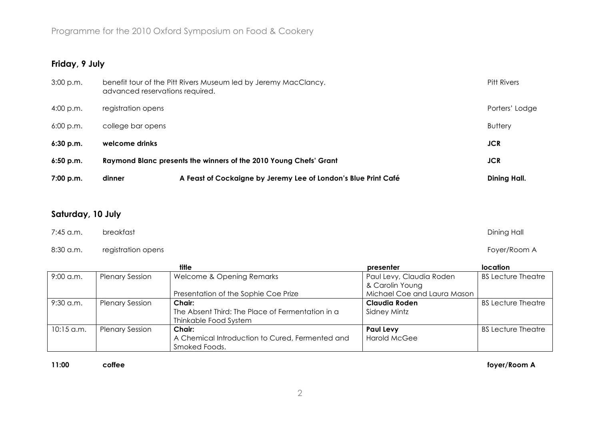### **Friday, 9 July**

| 3:00 p.m.   | advanced reservations required.                                   | benefit tour of the Pitt Rivers Museum led by Jeremy MacClancy. | Pitt Rivers         |
|-------------|-------------------------------------------------------------------|-----------------------------------------------------------------|---------------------|
| 4:00 p.m.   | registration opens                                                |                                                                 |                     |
| 6:00 p.m.   | college bar opens                                                 |                                                                 | <b>Buttery</b>      |
| 6:30 p.m.   | welcome drinks                                                    |                                                                 | <b>JCR</b>          |
| $6:50$ p.m. | Raymond Blanc presents the winners of the 2010 Young Chefs' Grant |                                                                 | <b>JCR</b>          |
| 7:00 p.m.   | dinner                                                            | A Feast of Cockaigne by Jeremy Lee of London's Blue Print Café  | <b>Dining Hall.</b> |

### **Saturday, 10 July**

| 7:45 a.m.   | breakfast          | Dining Hall  |
|-------------|--------------------|--------------|
| $8:30$ a.m. | registration opens | Foyer/Room A |

|              |                        | <b>title</b>                                     | presenter                   | location                  |
|--------------|------------------------|--------------------------------------------------|-----------------------------|---------------------------|
| $9:00$ a.m.  | <b>Plenary Session</b> | Welcome & Opening Remarks                        | Paul Levy, Claudia Roden    | <b>BS Lecture Theatre</b> |
|              |                        |                                                  | & Carolin Young             |                           |
|              |                        | Presentation of the Sophie Coe Prize             | Michael Coe and Laura Mason |                           |
| $9:30$ a.m.  | <b>Plenary Session</b> | Chair:                                           | <b>Claudia Roden</b>        | <b>BS Lecture Theatre</b> |
|              |                        | The Absent Third: The Place of Fermentation in a | Sidney Mintz                |                           |
|              |                        | Thinkable Food System                            |                             |                           |
| $10:15$ a.m. | <b>Plenary Session</b> | Chair:                                           | <b>Paul Levy</b>            | <b>BS Lecture Theatre</b> |
|              |                        | A Chemical Introduction to Cured, Fermented and  | <b>Harold McGee</b>         |                           |
|              |                        | Smoked Foods.                                    |                             |                           |

**11:00 coffee foyer/Room A**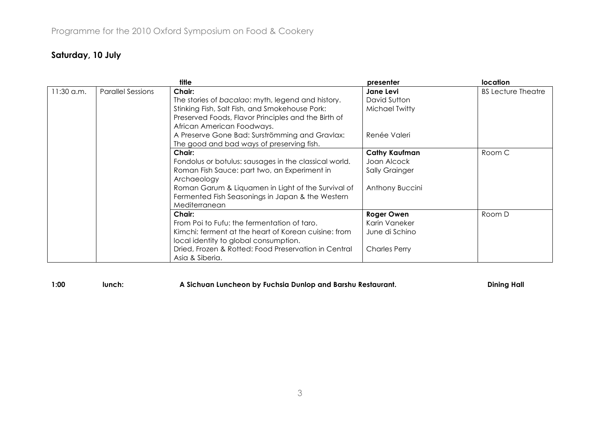### **Saturday, 10 July**

|            | <b>title</b>             |                                                       |                       | <b>location</b>           |
|------------|--------------------------|-------------------------------------------------------|-----------------------|---------------------------|
| 11:30 a.m. | <b>Parallel Sessions</b> | Chair:                                                | Jane Levi             | <b>BS Lecture Theatre</b> |
|            |                          | The stories of bacalao: myth, legend and history.     | David Sutton          |                           |
|            |                          | Stinking Fish, Salt Fish, and Smokehouse Pork:        | Michael Twitty        |                           |
|            |                          | Preserved Foods, Flavor Principles and the Birth of   |                       |                           |
|            |                          | African American Foodways.                            |                       |                           |
|            |                          | A Preserve Gone Bad: Surströmming and Gravlax:        | Renée Valeri          |                           |
|            |                          | The good and bad ways of preserving fish.             |                       |                           |
|            |                          | Chair:                                                | <b>Cathy Kaufman</b>  | Room C                    |
|            |                          | Fondolus or botulus: sausages in the classical world. | Joan Alcock           |                           |
|            |                          | Roman Fish Sauce: part two, an Experiment in          | <b>Sally Grainger</b> |                           |
|            |                          | Archaeology                                           |                       |                           |
|            |                          | Roman Garum & Liquamen in Light of the Survival of    | Anthony Buccini       |                           |
|            |                          | Fermented Fish Seasonings in Japan & the Western      |                       |                           |
|            |                          | Mediterranean                                         |                       |                           |
|            |                          | Chair:                                                | <b>Roger Owen</b>     | Room D                    |
|            |                          | From Poi to Fufu: the fermentation of taro.           | Karin Vaneker         |                           |
|            |                          | Kimchi: ferment at the heart of Korean cuisine: from  | June di Schino        |                           |
|            |                          | local identity to global consumption.                 |                       |                           |
|            |                          | Dried, Frozen & Rotted: Food Preservation in Central  | <b>Charles Perry</b>  |                           |
|            |                          | Asia & Siberia.                                       |                       |                           |

**1:00 lunch: A Sichuan Luncheon by Fuchsia Dunlop and Barshu Restaurant. Dining Hall**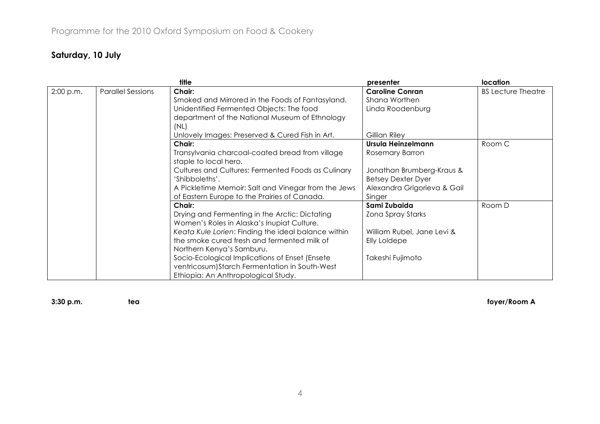### **Saturday, 10 July**

| title     |                          |                                                     | presenter                   | location                  |
|-----------|--------------------------|-----------------------------------------------------|-----------------------------|---------------------------|
| 2:00 p.m. | <b>Parallel Sessions</b> | Chair:                                              | <b>Caroline Conran</b>      | <b>BS Lecture Theatre</b> |
|           |                          | Smoked and Mirrored in the Foods of Fantasyland.    | Shana Worthen               |                           |
|           |                          | Unidentified Fermented Objects: The food            | Linda Roodenburg            |                           |
|           |                          | department of the National Museum of Ethnology      |                             |                           |
|           |                          | (NL)                                                |                             |                           |
|           |                          | Unlovely Images: Preserved & Cured Fish in Art.     | Gillian Riley               |                           |
|           |                          | Chair:                                              | <b>Ursula Heinzelmann</b>   | Room C                    |
|           |                          | Transylvania charcoal-coated bread from village     | <b>Rosemary Barron</b>      |                           |
|           |                          | staple to local hero.                               |                             |                           |
|           |                          | Cultures and Cultures: Fermented Foods as Culinary  | Jonathan Brumberg-Kraus &   |                           |
|           |                          | 'Shibboleths'.                                      | <b>Betsey Dexter Dyer</b>   |                           |
|           |                          | A Pickletime Memoir: Salt and Vinegar from the Jews | Alexandra Grigorieva & Gail |                           |
|           |                          | of Eastern Europe to the Prairies of Canada.        | Singer                      |                           |
|           |                          | Chair:                                              | Sami Zubaida                | Room D                    |
|           |                          | Drying and Fermenting in the Arctic: Dictating      | Zona Spray Starks           |                           |
|           |                          | Women's Roles in Alaska's Inupiat Culture.          |                             |                           |
|           |                          | Keata Kule Lorien: Finding the ideal balance within | William Rubel, Jane Levi &  |                           |
|           |                          | the smoke cured fresh and fermented milk of         | Elly Loldepe                |                           |
|           |                          | Northern Kenya's Samburu.                           |                             |                           |
|           |                          | Socio-Ecological Implications of Enset (Ensete      | Takeshi Fujimoto            |                           |
|           |                          | ventricosum)Starch Fermentation in South-West       |                             |                           |
|           |                          | Ethiopia: An Anthropological Study.                 |                             |                           |

**3:30 p.m. tea foyer/Room A**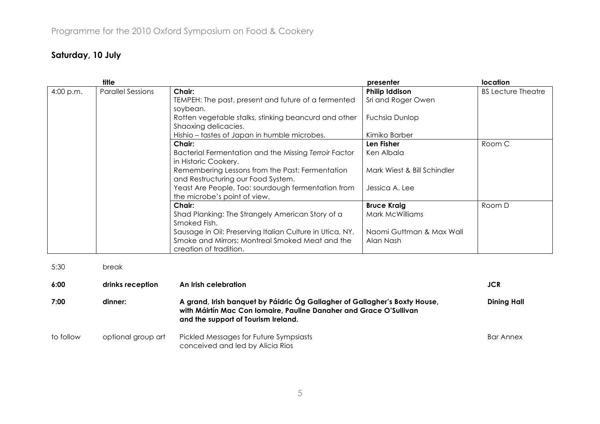## **Saturday, 10 July**

|           | title                    |                                                          | presenter                   | <b>location</b>           |
|-----------|--------------------------|----------------------------------------------------------|-----------------------------|---------------------------|
| 4:00 p.m. | <b>Parallel Sessions</b> | Chair:                                                   | <b>Philip Iddison</b>       | <b>BS Lecture Theatre</b> |
|           |                          | TEMPEH: The past, present and future of a fermented      | Sri and Roger Owen          |                           |
|           |                          | soybean.                                                 |                             |                           |
|           |                          | Rotten vegetable stalks, stinking beancurd and other     | <b>Fuchsia Dunlop</b>       |                           |
|           |                          | Shaoxing delicacies.                                     |                             |                           |
|           |                          | Hishio – tastes of Japan in humble microbes.             | Kimiko Barber               |                           |
|           |                          | Chair:                                                   | Len Fisher                  | Room C                    |
|           |                          | Bacterial Fermentation and the Missing Terroir Factor    | Ken Albala                  |                           |
|           |                          | in Historic Cookery.                                     |                             |                           |
|           |                          | Remembering Lessons from the Past: Fermentation          | Mark Wiest & Bill Schindler |                           |
|           |                          | and Restructuring our Food System.                       |                             |                           |
|           |                          | Yeast Are People, Too: sourdough fermentation from       | Jessica A. Lee              |                           |
|           |                          | the microbe's point of view.                             |                             |                           |
|           |                          | Chair:                                                   | <b>Bruce Kraig</b>          | Room D                    |
|           |                          | Shad Planking: The Strangely American Story of a         | Mark McWilliams             |                           |
|           |                          | Smoked Fish.                                             |                             |                           |
|           |                          | Sausage in Oil: Preserving Italian Culture in Utica, NY. | Naomi Guttman & Max Wall    |                           |
|           |                          | Smoke and Mirrors: Montreal Smoked Meat and the          | Alan Nash                   |                           |
|           |                          | creation of tradition.                                   |                             |                           |
|           |                          |                                                          |                             |                           |
| 5:30      | break                    |                                                          |                             |                           |

| 6:00      | drinks reception   | An Irish celebration                                                                                                                                                                    | <b>JCR</b>         |
|-----------|--------------------|-----------------------------------------------------------------------------------------------------------------------------------------------------------------------------------------|--------------------|
| 7:00      | dinner:            | A grand, Irish banquet by Páidric Óg Gallagher of Gallagher's Boxty House,<br>with Máirtín Mac Con Iomaire, Pauline Danaher and Grace O'Sullivan<br>and the support of Tourism Ireland. | <b>Dining Hall</b> |
| to follow | optional group art | Pickled Messages for Future Sympsiasts<br>conceived and led by Alicia Rios                                                                                                              | <b>Bar Annex</b>   |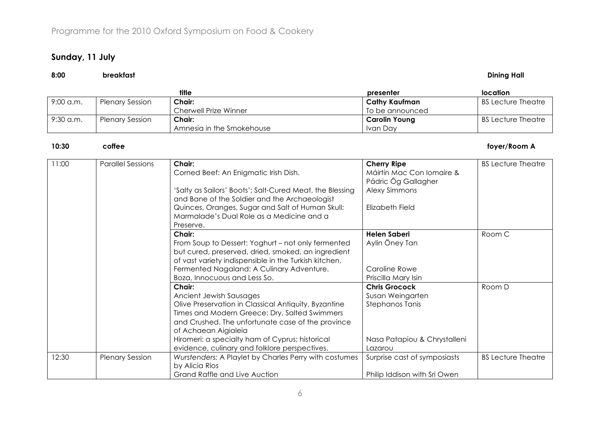### **Sunday, 11 July**

#### **8:00 breakfast Dining Hall**

| title       |                        |                           | presenter            | <b>location</b>           |
|-------------|------------------------|---------------------------|----------------------|---------------------------|
| $9:00$ a.m. | <b>Plenary Session</b> | Chair:                    | Cathy Kaufman        | <b>BS Lecture Theatre</b> |
|             |                        | Cherwell Prize Winner     | To be announced      |                           |
| 9:30 a.m.   | <b>Plenary Session</b> | <b>Chair:</b>             | <b>Carolin Young</b> | BS Lecture Theatre        |
|             |                        | Amnesia in the Smokehouse | Ivan Dav             |                           |

### **10:30 coffee foyer/Room A**

| 1:00  | <b>Parallel Sessions</b> | Chair:                                                   | <b>Cherry Ripe</b>           | <b>BS Lecture Theatre</b> |
|-------|--------------------------|----------------------------------------------------------|------------------------------|---------------------------|
|       |                          | Corned Beef: An Enigmatic Irish Dish.                    | Máirtín Mac Con Iomaire &    |                           |
|       |                          |                                                          | Pádric Ôg Gallagher          |                           |
|       |                          | 'Salty as Sailors' Boots'; Salt-Cured Meat, the Blessing | <b>Alexy Simmons</b>         |                           |
|       |                          | and Bane of the Soldier and the Archaeologist            |                              |                           |
|       |                          | Quinces, Oranges, Sugar and Salt of Human Skull:         | Elizabeth Field              |                           |
|       |                          | Marmalade's Dual Role as a Medicine and a                |                              |                           |
|       |                          | Preserve.                                                |                              |                           |
|       |                          | Chair:                                                   | <b>Helen Saberi</b>          | Room C                    |
|       |                          | From Soup to Dessert: Yoghurt - not only fermented       | Aylin Öney Tan               |                           |
|       |                          | but cured, preserved, dried, smoked, an ingredient       |                              |                           |
|       |                          | of vast variety indispensible in the Turkish kitchen.    |                              |                           |
|       |                          | Fermented Nagaland: A Culinary Adventure.                | Caroline Rowe                |                           |
|       |                          | Boza, Innocuous and Less So.                             | Priscilla Mary Isin          |                           |
|       |                          | Chair:                                                   | <b>Chris Grocock</b>         | Room D                    |
|       |                          | Ancient Jewish Sausages                                  | Susan Weingarten             |                           |
|       |                          | Olive Preservation in Classical Antiquity, Byzantine     | Stephanos Tanis              |                           |
|       |                          | Times and Modern Greece: Dry, Salted Swimmers            |                              |                           |
|       |                          | and Crushed. The unfortunate case of the province        |                              |                           |
|       |                          | of Achaean Aigialeia                                     |                              |                           |
|       |                          | Hiromeri: a specialty ham of Cyprus; historical          | Nasa Patapiou & Chrystalleni |                           |
|       |                          | evidence, culinary and folklore perspectives.            | Lazarou                      |                           |
| 12:30 | <b>Plenary Session</b>   | Wurstenders: A Playlet by Charles Perry with costumes    | Surprise cast of symposiasts | <b>BS Lecture Theatre</b> |
|       |                          | by Alicia Rios                                           |                              |                           |
|       |                          | Grand Raffle and Live Auction                            | Philip Iddison with Sri Owen |                           |